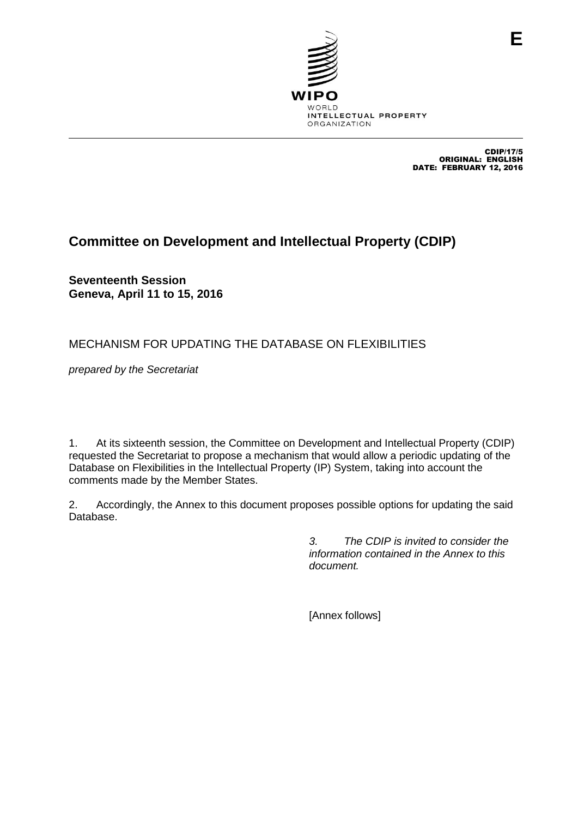

CDIP/17/5 ORIGINAL: ENGLISH DATE: FEBRUARY 12, 2016

# **Committee on Development and Intellectual Property (CDIP)**

**Seventeenth Session Geneva, April 11 to 15, 2016**

## MECHANISM FOR UPDATING THE DATABASE ON FLEXIBILITIES

*prepared by the Secretariat*

1. At its sixteenth session, the Committee on Development and Intellectual Property (CDIP) requested the Secretariat to propose a mechanism that would allow a periodic updating of the Database on Flexibilities in the Intellectual Property (IP) System, taking into account the comments made by the Member States.

2. Accordingly, the Annex to this document proposes possible options for updating the said Database.

> *3. The CDIP is invited to consider the information contained in the Annex to this document.*

[Annex follows]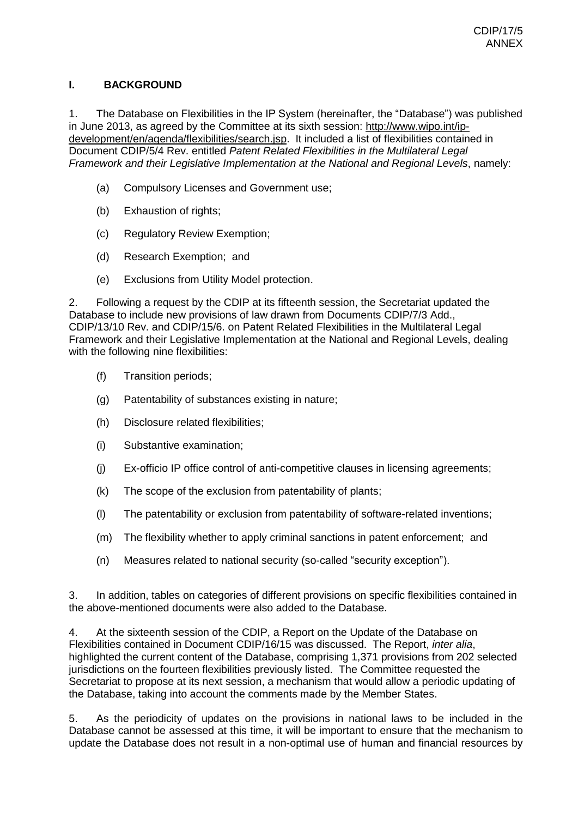#### **I. BACKGROUND**

1. The Database on Flexibilities in the IP System (hereinafter, the "Database") was published in June 2013, as agreed by the Committee at its sixth session: [http://www.wipo.int/ip](http://www.wipo.int/ip-development/en/agenda/flexibilities/search.jsp)[development/en/agenda/flexibilities/search.jsp.](http://www.wipo.int/ip-development/en/agenda/flexibilities/search.jsp) It included a list of flexibilities contained in Document CDIP/5/4 Rev. entitled *Patent Related Flexibilities in the Multilateral Legal Framework and their Legislative Implementation at the National and Regional Levels*, namely:

- (a) Compulsory Licenses and Government use;
- (b) Exhaustion of rights;
- (c) Regulatory Review Exemption;
- (d) Research Exemption; and
- (e) Exclusions from Utility Model protection.

2. Following a request by the CDIP at its fifteenth session, the Secretariat updated the Database to include new provisions of law drawn from Documents CDIP/7/3 Add., CDIP/13/10 Rev. and CDIP/15/6. on Patent Related Flexibilities in the Multilateral Legal Framework and their Legislative Implementation at the National and Regional Levels, dealing with the following nine flexibilities:

- (f) Transition periods;
- (g) Patentability of substances existing in nature;
- (h) Disclosure related flexibilities;
- (i) Substantive examination;
- (j) Ex-officio IP office control of anti-competitive clauses in licensing agreements;
- (k) The scope of the exclusion from patentability of plants;
- (l) The patentability or exclusion from patentability of software-related inventions;
- (m) The flexibility whether to apply criminal sanctions in patent enforcement; and
- (n) Measures related to national security (so-called "security exception").

3. In addition, tables on categories of different provisions on specific flexibilities contained in the above-mentioned documents were also added to the Database.

4. At the sixteenth session of the CDIP, a Report on the Update of the Database on Flexibilities contained in Document CDIP/16/15 was discussed. The Report, *inter alia*, highlighted the current content of the Database, comprising 1,371 provisions from 202 selected jurisdictions on the fourteen flexibilities previously listed. The Committee requested the Secretariat to propose at its next session, a mechanism that would allow a periodic updating of the Database, taking into account the comments made by the Member States.

5. As the periodicity of updates on the provisions in national laws to be included in the Database cannot be assessed at this time, it will be important to ensure that the mechanism to update the Database does not result in a non-optimal use of human and financial resources by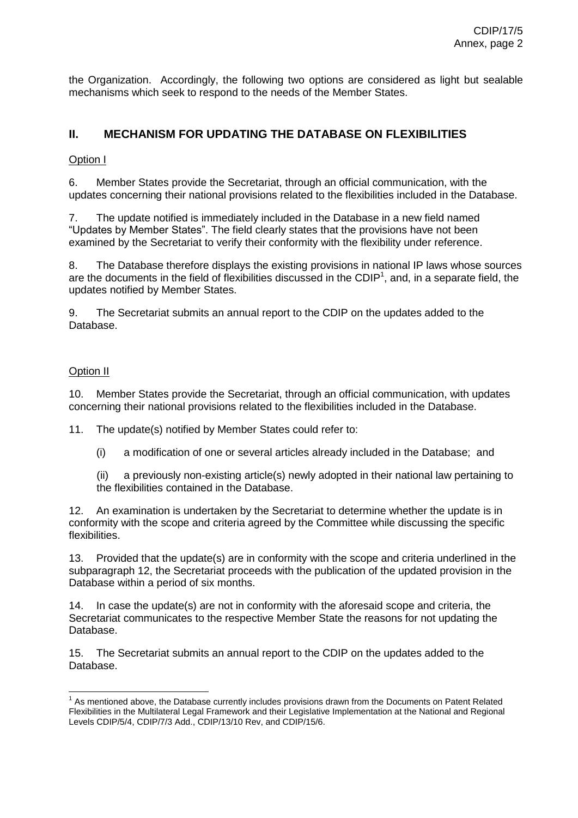the Organization. Accordingly, the following two options are considered as light but sealable mechanisms which seek to respond to the needs of the Member States.

### **II. MECHANISM FOR UPDATING THE DATABASE ON FLEXIBILITIES**

#### Option I

6. Member States provide the Secretariat, through an official communication, with the updates concerning their national provisions related to the flexibilities included in the Database.

7. The update notified is immediately included in the Database in a new field named "Updates by Member States". The field clearly states that the provisions have not been examined by the Secretariat to verify their conformity with the flexibility under reference.

8. The Database therefore displays the existing provisions in national IP laws whose sources are the documents in the field of flexibilities discussed in the CDIP<sup>1</sup>, and, in a separate field, the updates notified by Member States.

9. The Secretariat submits an annual report to the CDIP on the updates added to the Database.

#### Option II

10. Member States provide the Secretariat, through an official communication, with updates concerning their national provisions related to the flexibilities included in the Database.

11. The update(s) notified by Member States could refer to:

- (i) a modification of one or several articles already included in the Database; and
- (ii) a previously non-existing article(s) newly adopted in their national law pertaining to the flexibilities contained in the Database.

12. An examination is undertaken by the Secretariat to determine whether the update is in conformity with the scope and criteria agreed by the Committee while discussing the specific flexibilities.

13. Provided that the update(s) are in conformity with the scope and criteria underlined in the subparagraph 12, the Secretariat proceeds with the publication of the updated provision in the Database within a period of six months.

14. In case the update(s) are not in conformity with the aforesaid scope and criteria, the Secretariat communicates to the respective Member State the reasons for not updating the Database.

15. The Secretariat submits an annual report to the CDIP on the updates added to the Database.

The mentioned above, the Database currently includes provisions drawn from the Documents on Patent Related<br><sup>1</sup> As mentioned above, the Database currently includes provisions drawn from the Documents on Patent Related Flexibilities in the Multilateral Legal Framework and their Legislative Implementation at the National and Regional Levels CDIP/5/4, CDIP/7/3 Add., CDIP/13/10 Rev, and CDIP/15/6.